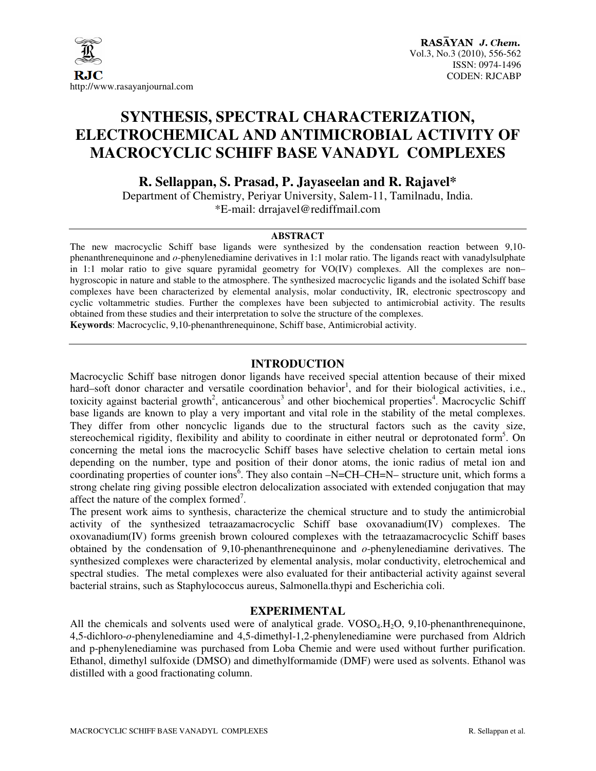

# **SYNTHESIS, SPECTRAL CHARACTERIZATION, ELECTROCHEMICAL AND ANTIMICROBIAL ACTIVITY OF MACROCYCLIC SCHIFF BASE VANADYL COMPLEXES**

**R. Sellappan, S. Prasad, P. Jayaseelan and R. Rajavel\*** 

Department of Chemistry, Periyar University, Salem-11, Tamilnadu, India. \*E-mail: drrajavel@rediffmail.com

## **ABSTRACT**

The new macrocyclic Schiff base ligands were synthesized by the condensation reaction between 9,10 phenanthrenequinone and *o*-phenylenediamine derivatives in 1:1 molar ratio. The ligands react with vanadylsulphate in 1:1 molar ratio to give square pyramidal geometry for VO(IV) complexes. All the complexes are non– hygroscopic in nature and stable to the atmosphere. The synthesized macrocyclic ligands and the isolated Schiff base complexes have been characterized by elemental analysis, molar conductivity, IR, electronic spectroscopy and cyclic voltammetric studies. Further the complexes have been subjected to antimicrobial activity. The results obtained from these studies and their interpretation to solve the structure of the complexes.

**Keywords**: Macrocyclic, 9,10-phenanthrenequinone, Schiff base, Antimicrobial activity.

# **INTRODUCTION**

Macrocyclic Schiff base nitrogen donor ligands have received special attention because of their mixed hard–soft donor character and versatile coordination behavior<sup>1</sup>, and for their biological activities, i.e., toxicity against bacterial growth<sup>2</sup>, anticancerous<sup>3</sup> and other biochemical properties<sup>4</sup>. Macrocyclic Schiff base ligands are known to play a very important and vital role in the stability of the metal complexes. They differ from other noncyclic ligands due to the structural factors such as the cavity size, stereochemical rigidity, flexibility and ability to coordinate in either neutral or deprotonated form<sup>5</sup>. On concerning the metal ions the macrocyclic Schiff bases have selective chelation to certain metal ions depending on the number, type and position of their donor atoms, the ionic radius of metal ion and coordinating properties of counter ions<sup>6</sup>. They also contain -N=CH-CH=N- structure unit, which forms a strong chelate ring giving possible electron delocalization associated with extended conjugation that may affect the nature of the complex formed<sup>7</sup>.

The present work aims to synthesis, characterize the chemical structure and to study the antimicrobial activity of the synthesized tetraazamacrocyclic Schiff base oxovanadium(IV) complexes. The oxovanadium(IV) forms greenish brown coloured complexes with the tetraazamacrocyclic Schiff bases obtained by the condensation of 9,10-phenanthrenequinone and *o*-phenylenediamine derivatives. The synthesized complexes were characterized by elemental analysis, molar conductivity, eletrochemical and spectral studies. The metal complexes were also evaluated for their antibacterial activity against several bacterial strains, such as Staphylococcus aureus, Salmonella.thypi and Escherichia coli.

# **EXPERIMENTAL**

All the chemicals and solvents used were of analytical grade.  $VOSO<sub>4</sub>$ ,  $H<sub>2</sub>O$ , 9,10-phenanthrenequinone, 4,5-dichloro-*o*-phenylenediamine and 4,5-dimethyl-1,2-phenylenediamine were purchased from Aldrich and p-phenylenediamine was purchased from Loba Chemie and were used without further purification. Ethanol, dimethyl sulfoxide (DMSO) and dimethylformamide (DMF) were used as solvents. Ethanol was distilled with a good fractionating column.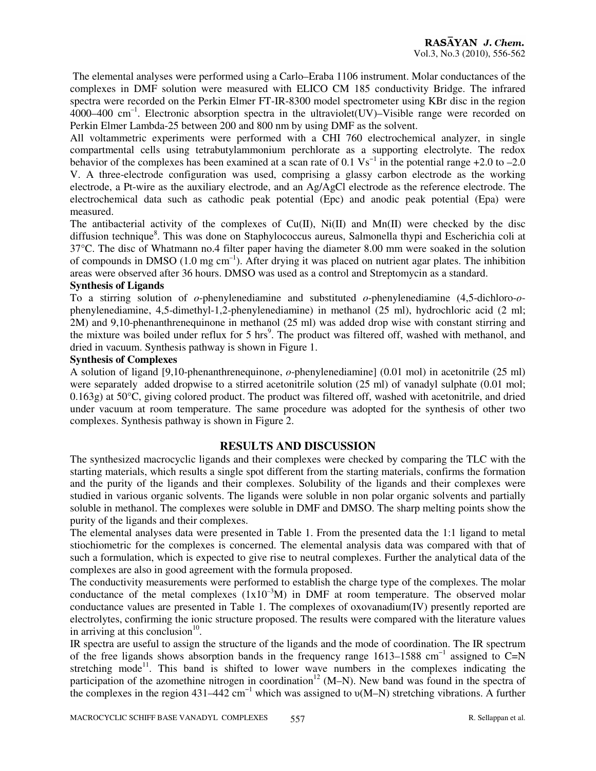The elemental analyses were performed using a Carlo–Eraba 1106 instrument. Molar conductances of the complexes in DMF solution were measured with ELICO CM 185 conductivity Bridge. The infrared spectra were recorded on the Perkin Elmer FT-IR-8300 model spectrometer using KBr disc in the region  $4000-400$  cm<sup>-1</sup>. Electronic absorption spectra in the ultraviolet(UV)–Visible range were recorded on Perkin Elmer Lambda-25 between 200 and 800 nm by using DMF as the solvent.

All voltammetric experiments were performed with a CHI 760 electrochemical analyzer, in single compartmental cells using tetrabutylammonium perchlorate as a supporting electrolyte. The redox behavior of the complexes has been examined at a scan rate of  $0.1 \text{ Vs}^{-1}$  in the potential range +2.0 to –2.0 V. A three-electrode configuration was used, comprising a glassy carbon electrode as the working electrode, a Pt-wire as the auxiliary electrode, and an Ag/AgCl electrode as the reference electrode. The electrochemical data such as cathodic peak potential (Epc) and anodic peak potential (Epa) were measured.

The antibacterial activity of the complexes of  $Cu(II)$ ,  $Ni(II)$  and  $Mn(II)$  were checked by the disc diffusion technique<sup>8</sup>. This was done on Staphylococcus aureus, Salmonella thypi and Escherichia coli at 37°C. The disc of Whatmann no.4 filter paper having the diameter 8.00 mm were soaked in the solution of compounds in DMSO (1.0 mg cm<sup>-1</sup>). After drying it was placed on nutrient agar plates. The inhibition areas were observed after 36 hours. DMSO was used as a control and Streptomycin as a standard.

## **Synthesis of Ligands**

To a stirring solution of *o*-phenylenediamine and substituted *o*-phenylenediamine (4,5-dichloro-*o*phenylenediamine, 4,5-dimethyl-1,2-phenylenediamine) in methanol (25 ml), hydrochloric acid (2 ml; 2M) and 9,10-phenanthrenequinone in methanol (25 ml) was added drop wise with constant stirring and the mixture was boiled under reflux for 5 hrs<sup>9</sup>. The product was filtered off, washed with methanol, and dried in vacuum. Synthesis pathway is shown in Figure 1.

## **Synthesis of Complexes**

A solution of ligand [9,10-phenanthrenequinone, *o*-phenylenediamine] (0.01 mol) in acetonitrile (25 ml) were separately added dropwise to a stirred acetonitrile solution (25 ml) of vanadyl sulphate (0.01 mol; 0.163g) at 50°C, giving colored product. The product was filtered off, washed with acetonitrile, and dried under vacuum at room temperature. The same procedure was adopted for the synthesis of other two complexes. Synthesis pathway is shown in Figure 2.

# **RESULTS AND DISCUSSION**

The synthesized macrocyclic ligands and their complexes were checked by comparing the TLC with the starting materials, which results a single spot different from the starting materials, confirms the formation and the purity of the ligands and their complexes. Solubility of the ligands and their complexes were studied in various organic solvents. The ligands were soluble in non polar organic solvents and partially soluble in methanol. The complexes were soluble in DMF and DMSO. The sharp melting points show the purity of the ligands and their complexes.

The elemental analyses data were presented in Table 1. From the presented data the 1:1 ligand to metal stiochiometric for the complexes is concerned. The elemental analysis data was compared with that of such a formulation, which is expected to give rise to neutral complexes. Further the analytical data of the complexes are also in good agreement with the formula proposed.

The conductivity measurements were performed to establish the charge type of the complexes. The molar conductance of the metal complexes  $(1x10^{-3}M)$  in DMF at room temperature. The observed molar conductance values are presented in Table 1. The complexes of oxovanadium(IV) presently reported are electrolytes, confirming the ionic structure proposed. The results were compared with the literature values in arriving at this conclusion $10$ .

IR spectra are useful to assign the structure of the ligands and the mode of coordination. The IR spectrum of the free ligands shows absorption bands in the frequency range 1613–1588 cm<sup>-1</sup> assigned to C=N stretching mode<sup>11</sup>. This band is shifted to lower wave numbers in the complexes indicating the participation of the azomethine nitrogen in coordination<sup>12</sup> (M–N). New band was found in the spectra of the complexes in the region  $431-442$  cm<sup>-1</sup> which was assigned to  $\nu(M-N)$  stretching vibrations. A further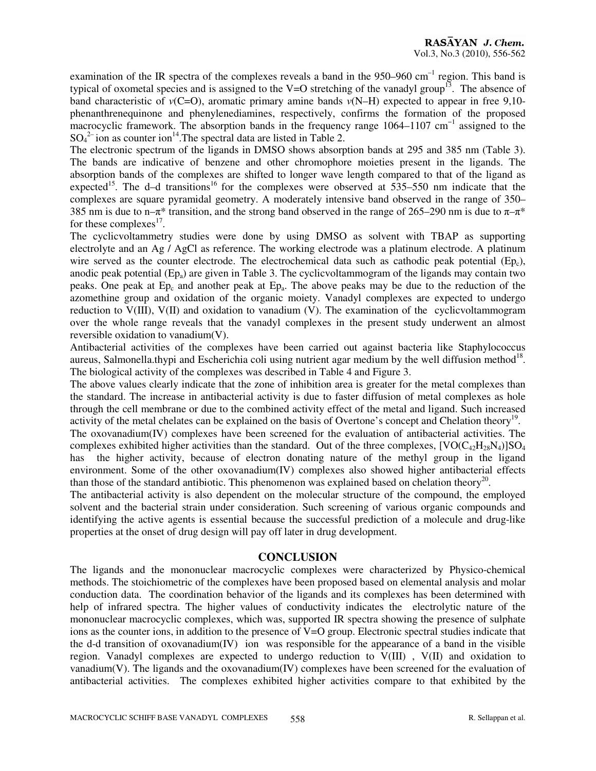examination of the IR spectra of the complexes reveals a band in the  $950-960$  cm<sup>-1</sup> region. This band is typical of oxometal species and is assigned to the V=O stretching of the vanadyl group<sup>13</sup>. The absence of band characteristic of  $v(C=0)$ , aromatic primary amine bands  $v(N-H)$  expected to appear in free 9,10phenanthrenequinone and phenylenediamines, respectively, confirms the formation of the proposed macrocyclic framework. The absorption bands in the frequency range 1064–1107 cm<sup>-1</sup> assigned to the  $SO_4^2$  ion as counter ion<sup>14</sup>. The spectral data are listed in Table 2.

The electronic spectrum of the ligands in DMSO shows absorption bands at 295 and 385 nm (Table 3). The bands are indicative of benzene and other chromophore moieties present in the ligands. The absorption bands of the complexes are shifted to longer wave length compared to that of the ligand as expected<sup>15</sup>. The d–d transitions<sup>16</sup> for the complexes were observed at 535–550 nm indicate that the complexes are square pyramidal geometry. A moderately intensive band observed in the range of 350– 385 nm is due to n– $\pi^*$  transition, and the strong band observed in the range of 265–290 nm is due to  $\pi$ – $\pi^*$ for these complexes $^{17}$ .

The cyclicvoltammetry studies were done by using DMSO as solvent with TBAP as supporting electrolyte and an Ag / AgCl as reference. The working electrode was a platinum electrode. A platinum wire served as the counter electrode. The electrochemical data such as cathodic peak potential  $(Ep_c)$ , anodic peak potential  $(Ep_a)$  are given in Table 3. The cyclicvoltammogram of the ligands may contain two peaks. One peak at  $Ep_c$  and another peak at  $Ep_a$ . The above peaks may be due to the reduction of the azomethine group and oxidation of the organic moiety. Vanadyl complexes are expected to undergo reduction to V(III), V(II) and oxidation to vanadium (V). The examination of the cyclicvoltammogram over the whole range reveals that the vanadyl complexes in the present study underwent an almost reversible oxidation to vanadium(V).

Antibacterial activities of the complexes have been carried out against bacteria like Staphylococcus aureus, Salmonella.thypi and Escherichia coli using nutrient agar medium by the well diffusion method<sup>18</sup>. The biological activity of the complexes was described in Table 4 and Figure 3.

The above values clearly indicate that the zone of inhibition area is greater for the metal complexes than the standard. The increase in antibacterial activity is due to faster diffusion of metal complexes as hole through the cell membrane or due to the combined activity effect of the metal and ligand. Such increased activity of the metal chelates can be explained on the basis of Overtone's concept and Chelation theory<sup>19</sup>.

The oxovanadium(IV) complexes have been screened for the evaluation of antibacterial activities. The complexes exhibited higher activities than the standard. Out of the three complexes,  $[VO(C_{42}H_{28}N_4)]SO_4$ has the higher activity, because of electron donating nature of the methyl group in the ligand environment. Some of the other oxovanadium(IV) complexes also showed higher antibacterial effects than those of the standard antibiotic. This phenomenon was explained based on chelation theory<sup>20</sup>.

The antibacterial activity is also dependent on the molecular structure of the compound, the employed solvent and the bacterial strain under consideration. Such screening of various organic compounds and identifying the active agents is essential because the successful prediction of a molecule and drug-like properties at the onset of drug design will pay off later in drug development.

# **CONCLUSION**

The ligands and the mononuclear macrocyclic complexes were characterized by Physico-chemical methods. The stoichiometric of the complexes have been proposed based on elemental analysis and molar conduction data. The coordination behavior of the ligands and its complexes has been determined with help of infrared spectra. The higher values of conductivity indicates the electrolytic nature of the mononuclear macrocyclic complexes, which was, supported IR spectra showing the presence of sulphate ions as the counter ions, in addition to the presence of V=O group. Electronic spectral studies indicate that the d-d transition of oxovanadium(IV) ion was responsible for the appearance of a band in the visible region. Vanadyl complexes are expected to undergo reduction to V(III) , V(II) and oxidation to vanadium(V). The ligands and the oxovanadium(IV) complexes have been screened for the evaluation of antibacterial activities. The complexes exhibited higher activities compare to that exhibited by the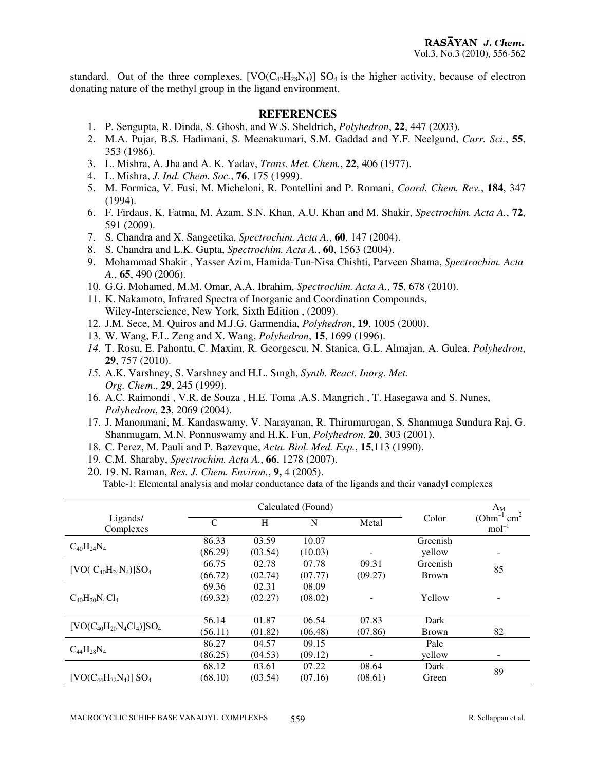standard. Out of the three complexes,  $[VO(C_{42}H_{28}N_4)]$  SO<sub>4</sub> is the higher activity, because of electron donating nature of the methyl group in the ligand environment.

#### **REFERENCES**

- 1. P. Sengupta, R. Dinda, S. Ghosh, and W.S. Sheldrich, *Polyhedron*, **22**, 447 (2003).
- 2. M.A. Pujar, B.S. Hadimani, S. Meenakumari, S.M. Gaddad and Y.F. Neelgund, *Curr. Sci.*, **55**, 353 (1986).
- 3. L. Mishra, A. Jha and A. K. Yadav, *Trans. Met. Chem.*, **22**, 406 (1977).
- 4. L. Mishra, *J. Ind. Chem. Soc.*, **76**, 175 (1999).
- 5. M. Formica, V. Fusi, M. Micheloni, R. Pontellini and P. Romani, *Coord. Chem. Rev.*, **184**, 347 (1994).
- 6. F. Firdaus, K. Fatma, M. Azam, S.N. Khan, A.U. Khan and M. Shakir, *Spectrochim. Acta A.*, **72**, 591 (2009).
- 7. S. Chandra and X. Sangeetika, *Spectrochim. Acta A.*, **60**, 147 (2004).
- 8. S. Chandra and L.K. Gupta, *Spectrochim. Acta A.*, **60**, 1563 (2004).
- 9. Mohammad Shakir , Yasser Azim, Hamida-Tun-Nisa Chishti, Parveen Shama, *Spectrochim. Acta A.*, **65**, 490 (2006).
- 10. G.G. Mohamed, M.M. Omar, A.A. Ibrahim, *Spectrochim. Acta A.*, **75**, 678 (2010).
- 11. K. Nakamoto, Infrared Spectra of Inorganic and Coordination Compounds, Wiley-Interscience, New York, Sixth Edition , (2009).
- 12. J.M. Sece, M. Quiros and M.J.G. Garmendia, *Polyhedron*, **19**, 1005 (2000).
- 13. W. Wang, F.L. Zeng and X. Wang, *Polyhedron*, **15**, 1699 (1996).
- *14.* T. Rosu, E. Pahontu, C. Maxim, R. Georgescu, N. Stanica, G.L. Almajan, A. Gulea, *Polyhedron*, **29**, 757 (2010).
- *15.* A.K. Varshney, S. Varshney and H.L. Sıngh, *Synth. React. Inorg. Met. Org. Chem*., **29**, 245 (1999).
- 16. A.C. Raimondi , V.R. de Souza , H.E. Toma ,A.S. Mangrich , T. Hasegawa and S. Nunes, *Polyhedron*, **23**, 2069 (2004).
- 17. J. Manonmani, M. Kandaswamy, V. Narayanan, R. Thirumurugan, S. Shanmuga Sundura Raj, G. Shanmugam, M.N. Ponnuswamy and H.K. Fun, *Polyhedron,* **20**, 303 (2001).
- 18. C. Perez, M. Pauli and P. Bazevque, *Acta. Biol. Med. Exp.*, **15**,113 (1990).
- 19. C.M. Sharaby, *Spectrochim. Acta A.*, **66**, 1278 (2007).
- 20. 19. N. Raman, *Res. J. Chem. Environ.*, **9,** 4 (2005). Table-1: Elemental analysis and molar conductance data of the ligands and their vanadyl complexes

|                                          | Calculated (Found) |         |         |         |              | $\Lambda_{\rm M}$                      |  |
|------------------------------------------|--------------------|---------|---------|---------|--------------|----------------------------------------|--|
| Ligands/<br>Complexes                    | C                  | H       | N       | Metal   | Color        | $(Ohm^{-1}$ cm <sup>2</sup><br>$mol-1$ |  |
| $C_{40}H_{24}N_4$                        | 86.33              | 03.59   | 10.07   |         | Greenish     |                                        |  |
|                                          | (86.29)            | (03.54) | (10.03) |         | yellow       | ۰                                      |  |
| [VO( $C_{40}H_{24}N_4$ )]SO <sub>4</sub> | 66.75              | 02.78   | 07.78   | 09.31   | Greenish     | 85                                     |  |
|                                          | (66.72)            | (02.74) | (07.77) | (09.27) | <b>Brown</b> |                                        |  |
|                                          | 69.36              | 02.31   | 08.09   |         |              |                                        |  |
| $C_{40}H_{20}N_4Cl_4$                    | (69.32)            | (02.27) | (08.02) |         | Yellow       |                                        |  |
|                                          |                    |         |         |         |              |                                        |  |
| $[VO(C_{40}H_{20}N_4Cl_4)]SO_4$          | 56.14              | 01.87   | 06.54   | 07.83   | Dark         |                                        |  |
|                                          | (56.11)            | (01.82) | (06.48) | (07.86) | <b>Brown</b> | 82                                     |  |
| $C_{44}H_{28}N_4$                        | 86.27              | 04.57   | 09.15   |         | Pale         |                                        |  |
|                                          | (86.25)            | (04.53) | (09.12) |         | yellow       | -                                      |  |
|                                          | 68.12              | 03.61   | 07.22   | 08.64   | Dark         |                                        |  |
| $[VO(C_{44}H_{32}N_4)] SO_4$             | (68.10)            | (03.54) | (07.16) | (08.61) | Green        | 89                                     |  |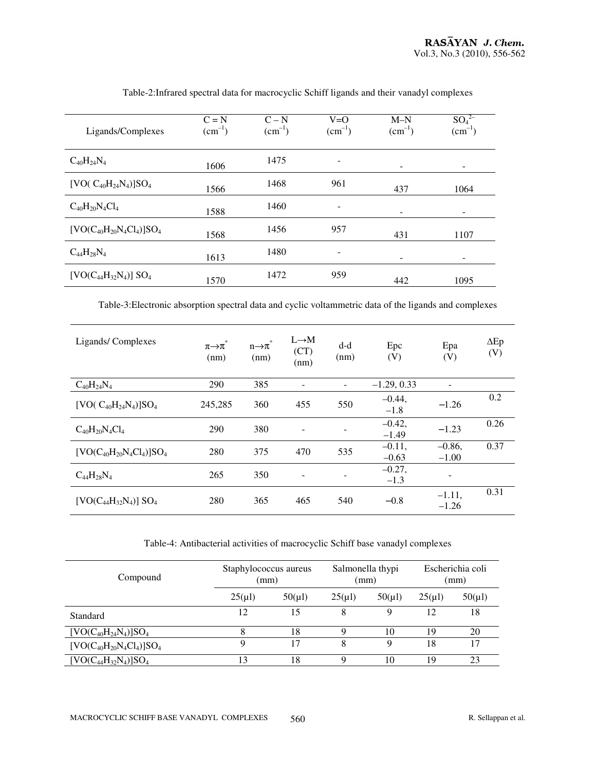| Ligands/Complexes                        | $C = N$<br>$(cm^{-1})$ | $C - N$<br>$(cm^{-1})$ | $V=O$<br>$(cm^{-1})$ | $M-N$<br>$(cm^{-1})$ | $SO_4^2$<br>$(cm^{-1})$ |
|------------------------------------------|------------------------|------------------------|----------------------|----------------------|-------------------------|
| $C_{40}H_{24}N_4$                        | 1606                   | 1475                   |                      |                      |                         |
| [VO( $C_{40}H_{24}N_4$ )]SO <sub>4</sub> | 1566                   | 1468                   | 961                  | 437                  | 1064                    |
| $C_{40}H_{20}N_4Cl_4$                    | 1588                   | 1460                   |                      |                      |                         |
| $[VO(C_{40}H_{20}N_4Cl_4)]SO_4$          | 1568                   | 1456                   | 957                  | 431                  | 1107                    |
| $C_{44}H_{28}N_4$                        | 1613                   | 1480                   |                      |                      |                         |
| $[VO(C_{44}H_{32}N_4)] SO_4$             | 1570                   | 1472                   | 959                  | 442                  | 1095                    |

## Table-2:Infrared spectral data for macrocyclic Schiff ligands and their vanadyl complexes

Table-3:Electronic absorption spectral data and cyclic voltammetric data of the ligands and complexes

| Ligands/Complexes               | *<br>$\pi\rightarrow\pi$<br>(nm) | $n\rightarrow\pi$<br>(nm) | $L \rightarrow M$<br>(CT)<br>(nm) | $d-d$<br>(nm) | Epc<br>(V)          | Epa<br>(V)          | $\Delta$ Ep<br>(V) |
|---------------------------------|----------------------------------|---------------------------|-----------------------------------|---------------|---------------------|---------------------|--------------------|
| $C_{40}H_{24}N_4$               | 290                              | 385                       | $\qquad \qquad -$                 |               | $-1.29, 0.33$       |                     |                    |
| $[VO(C_{40}H_{24}N_4)]SO_4$     | 245,285                          | 360                       | 455                               | 550           | $-0.44,$<br>$-1.8$  | $-1.26$             | 0.2                |
| $C_{40}H_{20}N_4Cl_4$           | 290                              | 380                       | $\blacksquare$                    |               | $-0.42,$<br>$-1.49$ | $-1.23$             | 0.26               |
| $[VO(C_{40}H_{20}N_4Cl_4)]SO_4$ | 280                              | 375                       | 470                               | 535           | $-0.11,$<br>$-0.63$ | $-0.86,$<br>$-1.00$ | 0.37               |
| $C_{44}H_{28}N_4$               | 265                              | 350                       |                                   |               | $-0.27,$<br>$-1.3$  |                     |                    |
| $[VO(C_{44}H_{32}N_4)] SO_4$    | 280                              | 365                       | 465                               | 540           | $-0.8$              | $-1.11,$<br>$-1.26$ | 0.31               |

## Table-4: Antibacterial activities of macrocyclic Schiff base vanadyl complexes

| Compound                        | Staphylococcus aureus<br>(mm) |             | Salmonella thypi<br>(mm) |             | Escherichia coli<br>(mm) |             |
|---------------------------------|-------------------------------|-------------|--------------------------|-------------|--------------------------|-------------|
|                                 | $25(\mu l)$                   | $50(\mu l)$ | $25(\mu l)$              | $50(\mu l)$ | $25(\mu l)$              | $50(\mu l)$ |
| Standard                        | 12                            | 15          | 8                        | Q           | 12                       | 18          |
| $[VO(C_{40}H_{24}N_4)]SO_4$     | 8                             | 18          | O                        | 10          | 19                       | 20          |
| $[VO(C_{40}H_{20}N_4Cl_4)]SO_4$ | Q                             | 17          | 8                        | a           | 18                       | 17          |
| $[VO(C_{44}H_{32}N_4)]SO_4$     | 13                            | 18          | Q                        | 10          | 19                       | 23          |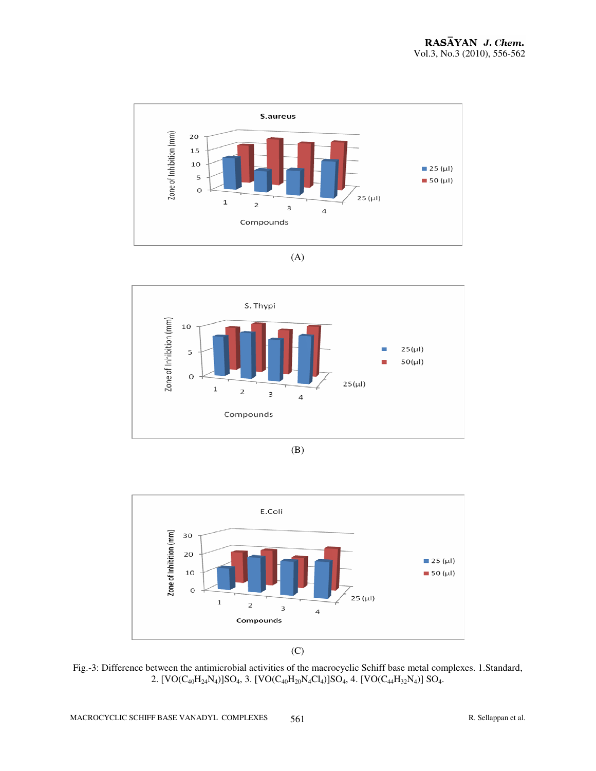











Fig.-3: Difference between the antimicrobial activities of the macrocyclic Schiff base metal complexes. 1.Standard, 2.  $[VO(C_{40}H_{24}N_4)]SO_4$ , 3.  $[VO(C_{40}H_{20}N_4Cl_4)]SO_4$ , 4.  $[VO(C_{44}H_{32}N_4)]SO_4$ .